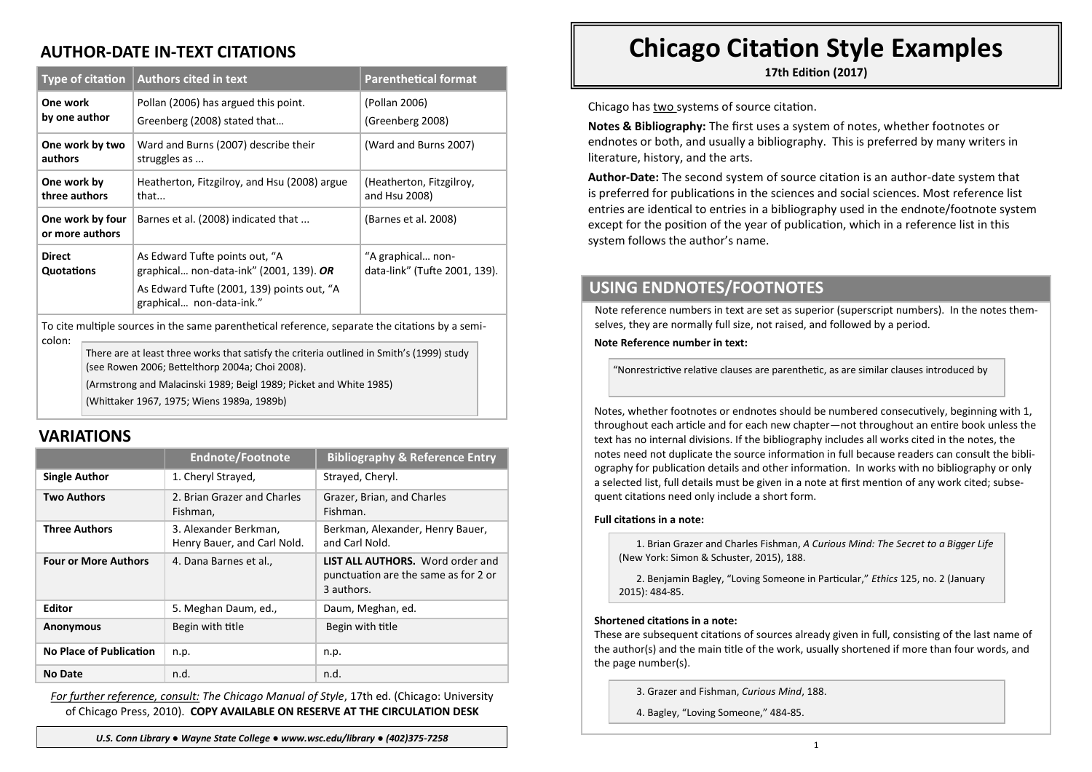## **AUTHOR-DATE IN-TEXT CITATIONS**

| <b>Type of citation</b>                                                                                   |                                                                                           | <b>Authors cited in text</b>                                              | <b>Parenthetical format</b>                        |  |  |
|-----------------------------------------------------------------------------------------------------------|-------------------------------------------------------------------------------------------|---------------------------------------------------------------------------|----------------------------------------------------|--|--|
| One work<br>by one author                                                                                 |                                                                                           | Pollan (2006) has argued this point.                                      | (Pollan 2006)<br>(Greenberg 2008)                  |  |  |
|                                                                                                           |                                                                                           | Greenberg (2008) stated that                                              |                                                    |  |  |
| One work by two<br>authors                                                                                |                                                                                           | Ward and Burns (2007) describe their<br>struggles as                      | (Ward and Burns 2007)                              |  |  |
| One work by<br>three authors                                                                              |                                                                                           | Heatherton, Fitzgilroy, and Hsu (2008) argue<br>that                      | (Heatherton, Fitzgilroy,<br>and Hsu 2008)          |  |  |
| One work by four<br>or more authors                                                                       |                                                                                           | Barnes et al. (2008) indicated that                                       | (Barnes et al. 2008)                               |  |  |
| <b>Direct</b><br>Quotations                                                                               |                                                                                           | As Edward Tufte points out, "A<br>graphical non-data-ink" (2001, 139). OR | "A graphical non-<br>data-link" (Tufte 2001, 139). |  |  |
|                                                                                                           |                                                                                           | As Edward Tufte (2001, 139) points out, "A<br>graphical non-data-ink."    |                                                    |  |  |
| To cite multiple sources in the same parenthetical reference, separate the citations by a semi-<br>colon: |                                                                                           |                                                                           |                                                    |  |  |
|                                                                                                           | There are at least three works that satisfy the criteria outlined in Smith's (1999) study |                                                                           |                                                    |  |  |

(see Rowen 2006; Bettelthorp 2004a; Choi 2008).

(Armstrong and Malacinski 1989; Beigl 1989; Picket and White 1985)

(Whittaker 1967, 1975; Wiens 1989a, 1989b)

## **VARIATIONS**

|                                | <b>Endnote/Footnote</b>                              | <b>Bibliography &amp; Reference Entry</b>                                                     |
|--------------------------------|------------------------------------------------------|-----------------------------------------------------------------------------------------------|
| <b>Single Author</b>           | 1. Cheryl Strayed,                                   | Strayed, Cheryl.                                                                              |
| <b>Two Authors</b>             | 2. Brian Grazer and Charles<br>Fishman,              | Grazer, Brian, and Charles<br>Fishman.                                                        |
| <b>Three Authors</b>           | 3. Alexander Berkman,<br>Henry Bauer, and Carl Nold. | Berkman, Alexander, Henry Bauer,<br>and Carl Nold.                                            |
| <b>Four or More Authors</b>    | 4. Dana Barnes et al.,                               | <b>LIST ALL AUTHORS.</b> Word order and<br>punctuation are the same as for 2 or<br>3 authors. |
| <b>Editor</b>                  | 5. Meghan Daum, ed.,                                 | Daum, Meghan, ed.                                                                             |
| <b>Anonymous</b>               | Begin with title                                     | Begin with title                                                                              |
| <b>No Place of Publication</b> | n.p.                                                 | n.p.                                                                                          |
| No Date                        | n.d.                                                 | n.d.                                                                                          |

*For further reference, consult: The Chicago Manual of Style*, 17th ed. (Chicago: University of Chicago Press, 2010). **COPY AVAILABLE ON RESERVE AT THE CIRCULATION DESK**

# **Chicago Citation Style Examples**

**17th Edition (2017)**

Chicago has two systems of source citation.

**Notes & Bibliography:** The first uses a system of notes, whether footnotes or endnotes or both, and usually a bibliography. This is preferred by many writers in literature, history, and the arts.

**Author-Date:** The second system of source citation is an author-date system that is preferred for publications in the sciences and social sciences. Most reference list entries are identical to entries in a bibliography used in the endnote/footnote system except for the position of the year of publication, which in a reference list in this system follows the author's name.

## **USING ENDNOTES/FOOTNOTES**

Note reference numbers in text are set as superior (superscript numbers). In the notes themselves, they are normally full size, not raised, and followed by a period.

**Note Reference number in text:**

"Nonrestrictive relative clauses are parenthetic, as are similar clauses introduced by

Notes, whether footnotes or endnotes should be numbered consecutively, beginning with 1, throughout each article and for each new chapter—not throughout an entire book unless the text has no internal divisions. If the bibliography includes all works cited in the notes, the notes need not duplicate the source information in full because readers can consult the bibliography for publication details and other information. In works with no bibliography or only a selected list, full details must be given in a note at first mention of any work cited; subsequent citations need only include a short form.

#### **Full citations in a note:**

1. Brian Grazer and Charles Fishman, *A Curious Mind: The Secret to a Bigger Life*  (New York: Simon & Schuster, 2015), 188.

2. Benjamin Bagley, "Loving Someone in Particular," *Ethics* 125, no. 2 (January 2015): 484-85.

#### **Shortened citations in a note:**

These are subsequent citations of sources already given in full, consisting of the last name of the author(s) and the main title of the work, usually shortened if more than four words, and the page number(s).

3. Grazer and Fishman, *Curious Mind*, 188.

4. Bagley, "Loving Someone," 484-85.

8 *U.S. Conn Library ● Wayne State College ● www.wsc.edu/library ● (402)375-7258*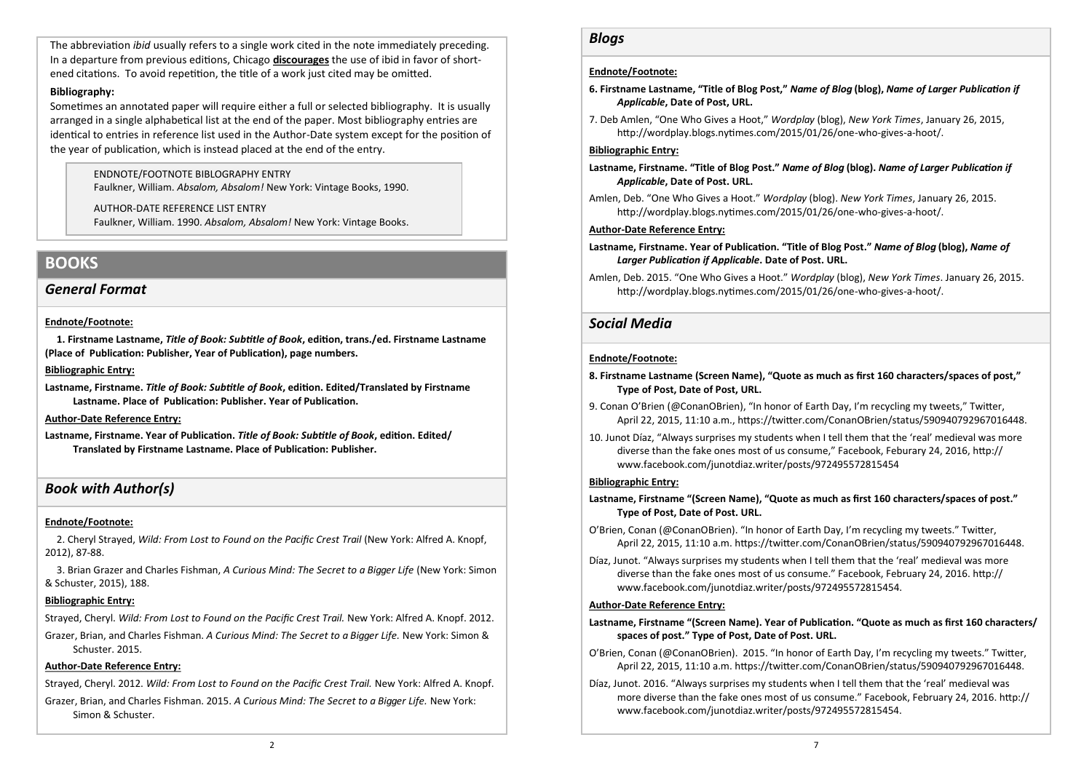The abbreviation *ibid* usually refers to a single work cited in the note immediately preceding. In a departure from previous editions, Chicago **discourages** the use of ibid in favor of shortened citations. To avoid repetition, the title of a work just cited may be omitted.

#### **Bibliography:**

Sometimes an annotated paper will require either a full or selected bibliography. It is usually arranged in a single alphabetical list at the end of the paper. Most bibliography entries are identical to entries in reference list used in the Author-Date system except for the position of the year of publication, which is instead placed at the end of the entry.

> ENDNOTE/FOOTNOTE BIBLOGRAPHY ENTRY Faulkner, William. *Absalom, Absalom!* New York: Vintage Books, 1990.

> AUTHOR-DATE REFERENCE LIST ENTRY Faulkner, William. 1990. *Absalom, Absalom!* New York: Vintage Books.

## **BOOKS**

### *General Format*

#### **Endnote/Footnote:**

**1. Firstname Lastname,** *Title of Book: Subtitle of Book***, edition, trans./ed. Firstname Lastname (Place of Publication: Publisher, Year of Publication), page numbers.** 

#### **Bibliographic Entry:**

**Lastname, Firstname.** *Title of Book: Subtitle of Book***, edition. Edited/Translated by Firstname Lastname. Place of Publication: Publisher. Year of Publication.**

#### **Author-Date Reference Entry:**

**Lastname, Firstname. Year of Publication.** *Title of Book: Subtitle of Book***, edition. Edited/ Translated by Firstname Lastname. Place of Publication: Publisher.**

### *Book with Author(s)*

#### **Endnote/Footnote:**

2. Cheryl Strayed, *Wild: From Lost to Found on the Pacific Crest Trail* (New York: Alfred A. Knopf, 2012), 87-88.

3. Brian Grazer and Charles Fishman, *A Curious Mind: The Secret to a Bigger Life* (New York: Simon & Schuster, 2015), 188.

#### **Bibliographic Entry:**

Strayed, Cheryl. *Wild: From Lost to Found on the Pacific Crest Trail.* New York: Alfred A. Knopf. 2012.

Grazer, Brian, and Charles Fishman. *A Curious Mind: The Secret to a Bigger Life.* New York: Simon & Schuster. 2015.

### **Author-Date Reference Entry:**

Strayed, Cheryl. 2012. *Wild: From Lost to Found on the Pacific Crest Trail.* New York: Alfred A. Knopf. Grazer, Brian, and Charles Fishman. 2015. *A Curious Mind: The Secret to a Bigger Life.* New York: Simon & Schuster.

### *Blogs*

#### **Endnote/Footnote:**

- **6. Firstname Lastname, "Title of Blog Post,"** *Name of Blog* **(blog),** *Name of Larger Publication if Applicable***, Date of Post, URL.**
- 7. Deb Amlen, "One Who Gives a Hoot," *Wordplay* (blog), *New York Times*, January 26, 2015, http://wordplay.blogs.nytimes.com/2015/01/26/one-who-gives-a-hoot/.

#### **Bibliographic Entry:**

- **Lastname, Firstname. "Title of Blog Post."** *Name of Blog* **(blog).** *Name of Larger Publication if Applicable***, Date of Post. URL.**
- Amlen, Deb. "One Who Gives a Hoot." *Wordplay* (blog). *New York Times*, January 26, 2015. http://wordplay.blogs.nytimes.com/2015/01/26/one-who-gives-a-hoot/.

#### **Author-Date Reference Entry:**

- **Lastname, Firstname. Year of Publication. "Title of Blog Post."** *Name of Blog* **(blog),** *Name of Larger Publication if Applicable***. Date of Post. URL.**
- Amlen, Deb. 2015. "One Who Gives a Hoot." *Wordplay* (blog), *New York Times*. January 26, 2015. http://wordplay.blogs.nytimes.com/2015/01/26/one-who-gives-a-hoot/.

## *Social Media*

#### **Endnote/Footnote:**

- **8. Firstname Lastname (Screen Name), "Quote as much as first 160 characters/spaces of post," Type of Post, Date of Post, URL.**
- 9. Conan O'Brien (@ConanOBrien), "In honor of Earth Day, I'm recycling my tweets," Twitter, April 22, 2015, 11:10 a.m., https://twitter.com/ConanOBrien/status/590940792967016448.
- 10. Junot Díaz, "Always surprises my students when I tell them that the 'real' medieval was more diverse than the fake ones most of us consume," Facebook, Feburary 24, 2016, http:// www.facebook.com/junotdiaz.writer/posts/972495572815454

#### **Bibliographic Entry:**

- **Lastname, Firstname "(Screen Name), "Quote as much as first 160 characters/spaces of post." Type of Post, Date of Post. URL.**
- O'Brien, Conan (@ConanOBrien). "In honor of Earth Day, I'm recycling my tweets." Twitter, April 22, 2015, 11:10 a.m. https://twitter.com/ConanOBrien/status/590940792967016448.
- Díaz, Junot. "Always surprises my students when I tell them that the 'real' medieval was more diverse than the fake ones most of us consume." Facebook, February 24, 2016. http:// www.facebook.com/junotdiaz.writer/posts/972495572815454.

#### **Author-Date Reference Entry:**

#### **Lastname, Firstname "(Screen Name). Year of Publication. "Quote as much as first 160 characters/ spaces of post." Type of Post, Date of Post. URL.**

- O'Brien, Conan (@ConanOBrien). 2015. "In honor of Earth Day, I'm recycling my tweets." Twitter, April 22, 2015, 11:10 a.m. https://twitter.com/ConanOBrien/status/590940792967016448.
- Díaz, Junot. 2016. "Always surprises my students when I tell them that the 'real' medieval was more diverse than the fake ones most of us consume." Facebook, February 24, 2016. http:// www.facebook.com/junotdiaz.writer/posts/972495572815454.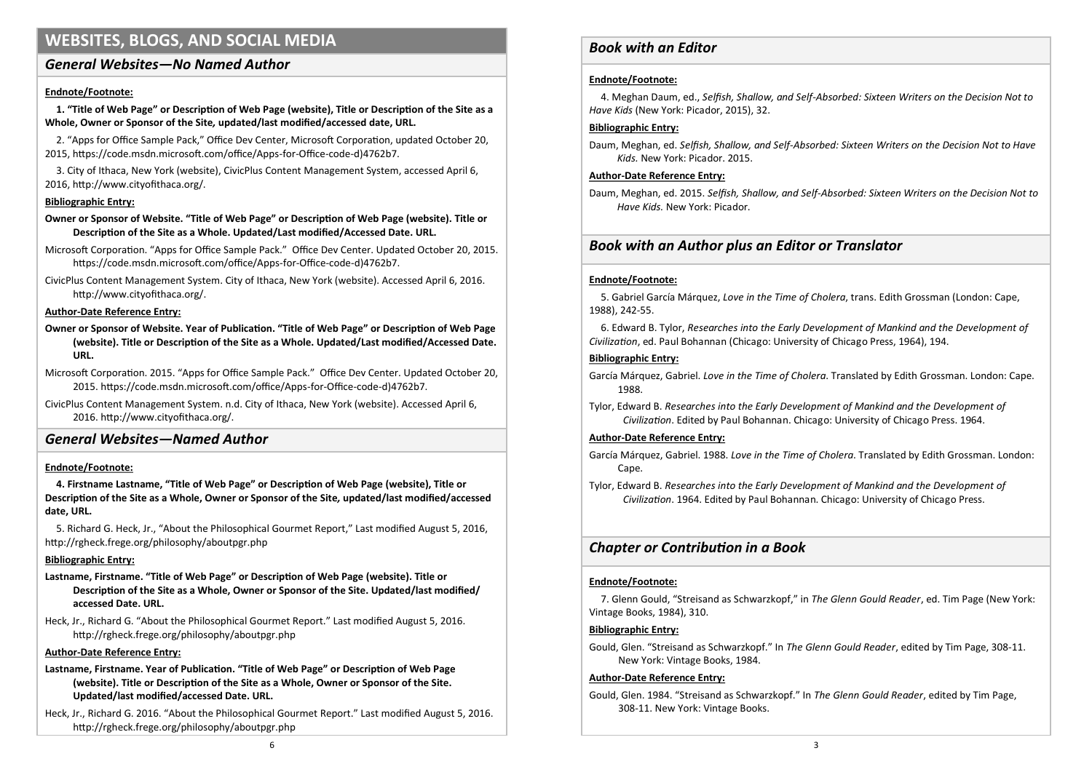## **WEBSITES, BLOGS, AND SOCIAL MEDIA**

## *General Websites—No Named Author*

#### **Endnote/Footnote:**

**1. "Title of Web Page" or Description of Web Page (website), Title or Description of the Site as a Whole, Owner or Sponsor of the Site***,* **updated/last modified/accessed date, URL.** 

2. "Apps for Office Sample Pack," Office Dev Center, Microsoft Corporation, updated October 20, 2015, https://code.msdn.microsoft.com/office/Apps-for-Office-code-d)4762b7.

3. City of Ithaca, New York (website), CivicPlus Content Management System, accessed April 6, 2016, http://www.cityofithaca.org/.

#### **Bibliographic Entry:**

**Owner or Sponsor of Website. "Title of Web Page" or Description of Web Page (website). Title or Description of the Site as a Whole. Updated/Last modified/Accessed Date. URL.** 

Microsoft Corporation. "Apps for Office Sample Pack." Office Dev Center. Updated October 20, 2015. https://code.msdn.microsoft.com/office/Apps-for-Office-code-d)4762b7.

CivicPlus Content Management System. City of Ithaca, New York (website). Accessed April 6, 2016. http://www.cityofithaca.org/.

#### **Author-Date Reference Entry:**

**Owner or Sponsor of Website. Year of Publication. "Title of Web Page" or Description of Web Page (website). Title or Description of the Site as a Whole. Updated/Last modified/Accessed Date. URL.** 

Microsoft Corporation. 2015. "Apps for Office Sample Pack." Office Dev Center. Updated October 20, 2015. https://code.msdn.microsoft.com/office/Apps-for-Office-code-d)4762b7.

CivicPlus Content Management System. n.d. City of Ithaca, New York (website). Accessed April 6, 2016. http://www.cityofithaca.org/.

## *General Websites—Named Author*

#### **Endnote/Footnote:**

**4. Firstname Lastname, "Title of Web Page" or Description of Web Page (website), Title or Description of the Site as a Whole, Owner or Sponsor of the Site***,* **updated/last modified/accessed date, URL.** 

5. Richard G. Heck, Jr., "About the Philosophical Gourmet Report," Last modified August 5, 2016, http://rgheck.frege.org/philosophy/aboutpgr.php

#### **Bibliographic Entry:**

- **Lastname, Firstname. "Title of Web Page" or Description of Web Page (website). Title or Description of the Site as a Whole, Owner or Sponsor of the Site. Updated/last modified/ accessed Date. URL.**
- Heck, Jr., Richard G. "About the Philosophical Gourmet Report." Last modified August 5, 2016. http://rgheck.frege.org/philosophy/aboutpgr.php

#### **Author-Date Reference Entry:**

- **Lastname, Firstname. Year of Publication. "Title of Web Page" or Description of Web Page (website). Title or Description of the Site as a Whole, Owner or Sponsor of the Site. Updated/last modified/accessed Date. URL.**
- Heck, Jr., Richard G. 2016. "About the Philosophical Gourmet Report." Last modified August 5, 2016. http://rgheck.frege.org/philosophy/aboutpgr.php

### *Book with an Editor*

#### **Endnote/Footnote:**

4. Meghan Daum, ed., *Selfish, Shallow, and Self-Absorbed: Sixteen Writers on the Decision Not to Have Kids* (New York: Picador, 2015), 32.

#### **Bibliographic Entry:**

Daum, Meghan, ed. *Selfish, Shallow, and Self-Absorbed: Sixteen Writers on the Decision Not to Have Kids.* New York: Picador. 2015.

#### **Author-Date Reference Entry:**

Daum, Meghan, ed. 2015. *Selfish, Shallow, and Self-Absorbed: Sixteen Writers on the Decision Not to Have Kids.* New York: Picador.

### *Book with an Author plus an Editor or Translator*

#### **Endnote/Footnote:**

5. Gabriel García Márquez, *Love in the Time of Cholera*, trans. Edith Grossman (London: Cape, 1988), 242-55.

6. Edward B. Tylor, *Researches into the Early Development of Mankind and the Development of Civilization*, ed. Paul Bohannan (Chicago: University of Chicago Press, 1964), 194.

#### **Bibliographic Entry:**

García Márquez, Gabriel. *Love in the Time of Cholera*. Translated by Edith Grossman. London: Cape. 1988.

Tylor, Edward B. *Researches into the Early Development of Mankind and the Development of Civilization*. Edited by Paul Bohannan. Chicago: University of Chicago Press. 1964.

#### **Author-Date Reference Entry:**

- García Márquez, Gabriel. 1988. *Love in the Time of Cholera*. Translated by Edith Grossman. London: Cape.
- Tylor, Edward B. *Researches into the Early Development of Mankind and the Development of Civilization*. 1964. Edited by Paul Bohannan. Chicago: University of Chicago Press.

## *Chapter or Contribution in a Book*

#### **Endnote/Footnote:**

7. Glenn Gould, "Streisand as Schwarzkopf," in *The Glenn Gould Reader*, ed. Tim Page (New York: Vintage Books, 1984), 310.

#### **Bibliographic Entry:**

Gould, Glen. "Streisand as Schwarzkopf." In *The Glenn Gould Reader*, edited by Tim Page, 308-11. New York: Vintage Books, 1984.

#### **Author-Date Reference Entry:**

Gould, Glen. 1984. "Streisand as Schwarzkopf." In *The Glenn Gould Reader*, edited by Tim Page, 308-11. New York: Vintage Books.